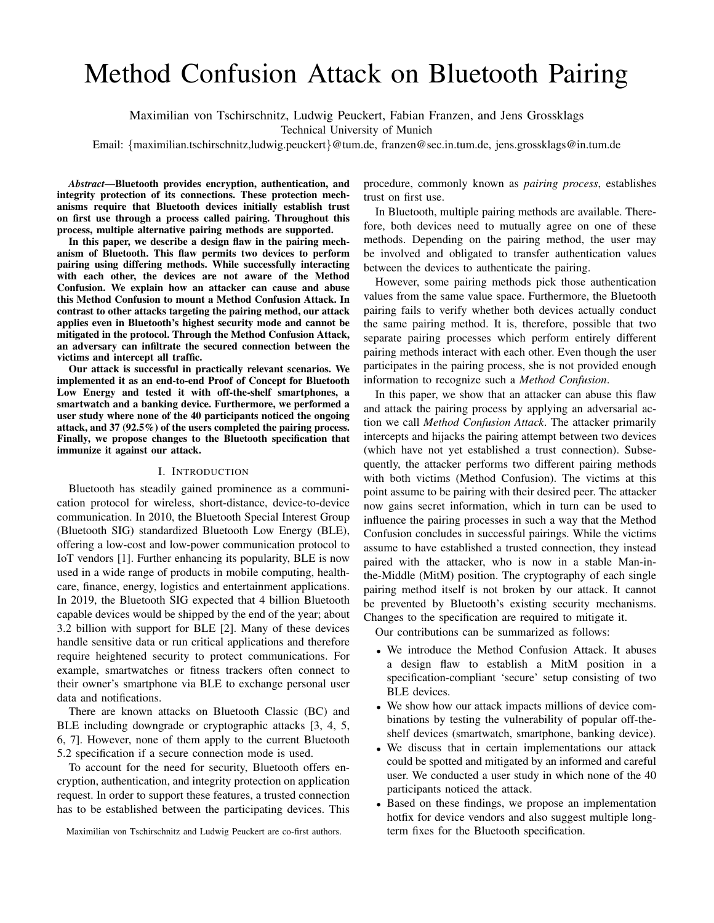# Method Confusion Attack on Bluetooth Pairing

Maximilian von Tschirschnitz, Ludwig Peuckert, Fabian Franzen, and Jens Grossklags

Technical University of Munich

Email: {maximilian.tschirschnitz,ludwig.peuckert}@tum.de, franzen@sec.in.tum.de, jens.grossklags@in.tum.de

*Abstract*—Bluetooth provides encryption, authentication, and integrity protection of its connections. These protection mechanisms require that Bluetooth devices initially establish trust on first use through a process called pairing. Throughout this process, multiple alternative pairing methods are supported.

In this paper, we describe a design flaw in the pairing mechanism of Bluetooth. This flaw permits two devices to perform pairing using differing methods. While successfully interacting with each other, the devices are not aware of the Method Confusion. We explain how an attacker can cause and abuse this Method Confusion to mount a Method Confusion Attack. In contrast to other attacks targeting the pairing method, our attack applies even in Bluetooth's highest security mode and cannot be mitigated in the protocol. Through the Method Confusion Attack, an adversary can infiltrate the secured connection between the victims and intercept all traffic.

Our attack is successful in practically relevant scenarios. We implemented it as an end-to-end Proof of Concept for Bluetooth Low Energy and tested it with off-the-shelf smartphones, a smartwatch and a banking device. Furthermore, we performed a user study where none of the 40 participants noticed the ongoing attack, and 37 (92.5%) of the users completed the pairing process. Finally, we propose changes to the Bluetooth specification that immunize it against our attack.

#### I. INTRODUCTION

Bluetooth has steadily gained prominence as a communication protocol for wireless, short-distance, device-to-device communication. In 2010, the Bluetooth Special Interest Group (Bluetooth SIG) standardized Bluetooth Low Energy (BLE), offering a low-cost and low-power communication protocol to IoT vendors [1]. Further enhancing its popularity, BLE is now used in a wide range of products in mobile computing, healthcare, finance, energy, logistics and entertainment applications. In 2019, the Bluetooth SIG expected that 4 billion Bluetooth capable devices would be shipped by the end of the year; about 3.2 billion with support for BLE [2]. Many of these devices handle sensitive data or run critical applications and therefore require heightened security to protect communications. For example, smartwatches or fitness trackers often connect to their owner's smartphone via BLE to exchange personal user data and notifications.

There are known attacks on Bluetooth Classic (BC) and BLE including downgrade or cryptographic attacks [3, 4, 5, 6, 7]. However, none of them apply to the current Bluetooth 5.2 specification if a secure connection mode is used.

To account for the need for security, Bluetooth offers encryption, authentication, and integrity protection on application request. In order to support these features, a trusted connection has to be established between the participating devices. This

Maximilian von Tschirschnitz and Ludwig Peuckert are co-first authors.

procedure, commonly known as *pairing process*, establishes trust on first use.

In Bluetooth, multiple pairing methods are available. Therefore, both devices need to mutually agree on one of these methods. Depending on the pairing method, the user may be involved and obligated to transfer authentication values between the devices to authenticate the pairing.

However, some pairing methods pick those authentication values from the same value space. Furthermore, the Bluetooth pairing fails to verify whether both devices actually conduct the same pairing method. It is, therefore, possible that two separate pairing processes which perform entirely different pairing methods interact with each other. Even though the user participates in the pairing process, she is not provided enough information to recognize such a *Method Confusion*.

In this paper, we show that an attacker can abuse this flaw and attack the pairing process by applying an adversarial action we call *Method Confusion Attack*. The attacker primarily intercepts and hijacks the pairing attempt between two devices (which have not yet established a trust connection). Subsequently, the attacker performs two different pairing methods with both victims (Method Confusion). The victims at this point assume to be pairing with their desired peer. The attacker now gains secret information, which in turn can be used to influence the pairing processes in such a way that the Method Confusion concludes in successful pairings. While the victims assume to have established a trusted connection, they instead paired with the attacker, who is now in a stable Man-inthe-Middle (MitM) position. The cryptography of each single pairing method itself is not broken by our attack. It cannot be prevented by Bluetooth's existing security mechanisms. Changes to the specification are required to mitigate it.

Our contributions can be summarized as follows:

- We introduce the Method Confusion Attack. It abuses a design flaw to establish a MitM position in a specification-compliant 'secure' setup consisting of two BLE devices.
- We show how our attack impacts millions of device combinations by testing the vulnerability of popular off-theshelf devices (smartwatch, smartphone, banking device).
- We discuss that in certain implementations our attack could be spotted and mitigated by an informed and careful user. We conducted a user study in which none of the 40 participants noticed the attack.
- Based on these findings, we propose an implementation hotfix for device vendors and also suggest multiple longterm fixes for the Bluetooth specification.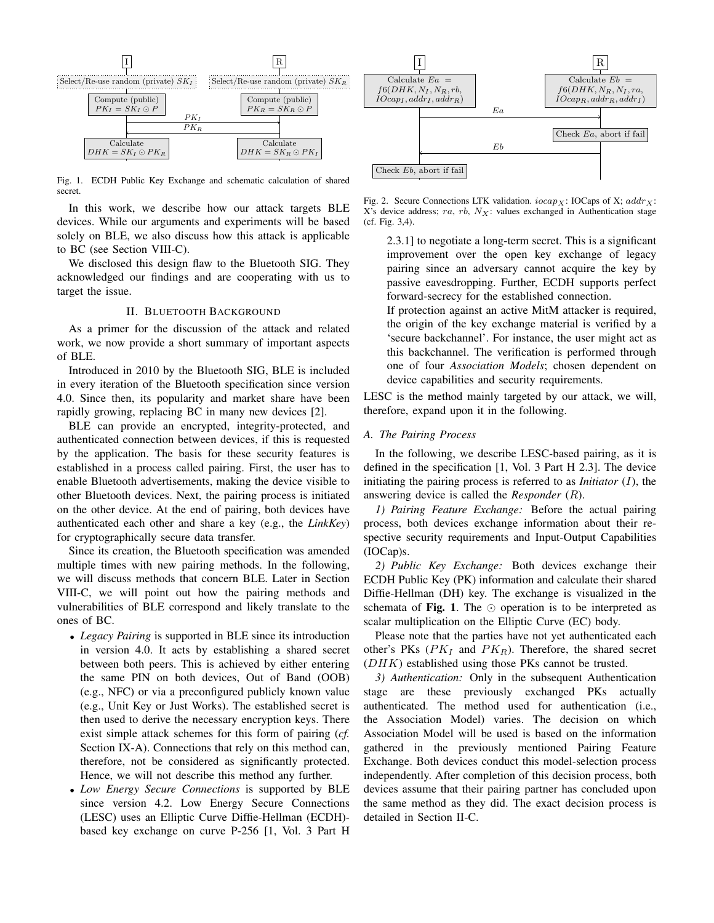

Fig. 1. ECDH Public Key Exchange and schematic calculation of shared secret.

In this work, we describe how our attack targets BLE devices. While our arguments and experiments will be based solely on BLE, we also discuss how this attack is applicable to BC (see Section VIII-C).

We disclosed this design flaw to the Bluetooth SIG. They acknowledged our findings and are cooperating with us to target the issue.

## II. BLUETOOTH BACKGROUND

As a primer for the discussion of the attack and related work, we now provide a short summary of important aspects of BLE.

Introduced in 2010 by the Bluetooth SIG, BLE is included in every iteration of the Bluetooth specification since version 4.0. Since then, its popularity and market share have been rapidly growing, replacing BC in many new devices [2].

BLE can provide an encrypted, integrity-protected, and authenticated connection between devices, if this is requested by the application. The basis for these security features is established in a process called pairing. First, the user has to enable Bluetooth advertisements, making the device visible to other Bluetooth devices. Next, the pairing process is initiated on the other device. At the end of pairing, both devices have authenticated each other and share a key (e.g., the *LinkKey*) for cryptographically secure data transfer.

Since its creation, the Bluetooth specification was amended multiple times with new pairing methods. In the following, we will discuss methods that concern BLE. Later in Section VIII-C, we will point out how the pairing methods and vulnerabilities of BLE correspond and likely translate to the ones of BC.

- *Legacy Pairing* is supported in BLE since its introduction in version 4.0. It acts by establishing a shared secret between both peers. This is achieved by either entering the same PIN on both devices, Out of Band (OOB) (e.g., NFC) or via a preconfigured publicly known value (e.g., Unit Key or Just Works). The established secret is then used to derive the necessary encryption keys. There exist simple attack schemes for this form of pairing (*cf.* Section IX-A). Connections that rely on this method can, therefore, not be considered as significantly protected. Hence, we will not describe this method any further.
- *Low Energy Secure Connections* is supported by BLE since version 4.2. Low Energy Secure Connections (LESC) uses an Elliptic Curve Diffie-Hellman (ECDH) based key exchange on curve P-256 [1, Vol. 3 Part H



Fig. 2. Secure Connections LTK validation.  $iocap_X$ : IOCaps of X;  $addr_X$ : X's device address;  $ra$ ,  $rb$ ,  $N_X$ : values exchanged in Authentication stage (cf. Fig. 3,4).

2.3.1] to negotiate a long-term secret. This is a significant improvement over the open key exchange of legacy pairing since an adversary cannot acquire the key by passive eavesdropping. Further, ECDH supports perfect forward-secrecy for the established connection.

If protection against an active MitM attacker is required, the origin of the key exchange material is verified by a 'secure backchannel'. For instance, the user might act as this backchannel. The verification is performed through one of four *Association Models*; chosen dependent on device capabilities and security requirements.

LESC is the method mainly targeted by our attack, we will, therefore, expand upon it in the following.

## *A. The Pairing Process*

In the following, we describe LESC-based pairing, as it is defined in the specification [1, Vol. 3 Part H 2.3]. The device initiating the pairing process is referred to as *Initiator* (I), the answering device is called the *Responder* (R).

*1) Pairing Feature Exchange:* Before the actual pairing process, both devices exchange information about their respective security requirements and Input-Output Capabilities (IOCap)s.

*2) Public Key Exchange:* Both devices exchange their ECDH Public Key (PK) information and calculate their shared Diffie-Hellman (DH) key. The exchange is visualized in the schemata of Fig. 1. The  $\odot$  operation is to be interpreted as scalar multiplication on the Elliptic Curve (EC) body.

Please note that the parties have not yet authenticated each other's PKs ( $PK_I$  and  $PK_R$ ). Therefore, the shared secret  $(DHK)$  established using those PKs cannot be trusted.

*3) Authentication:* Only in the subsequent Authentication stage are these previously exchanged PKs actually authenticated. The method used for authentication (i.e., the Association Model) varies. The decision on which Association Model will be used is based on the information gathered in the previously mentioned Pairing Feature Exchange. Both devices conduct this model-selection process independently. After completion of this decision process, both devices assume that their pairing partner has concluded upon the same method as they did. The exact decision process is detailed in Section II-C.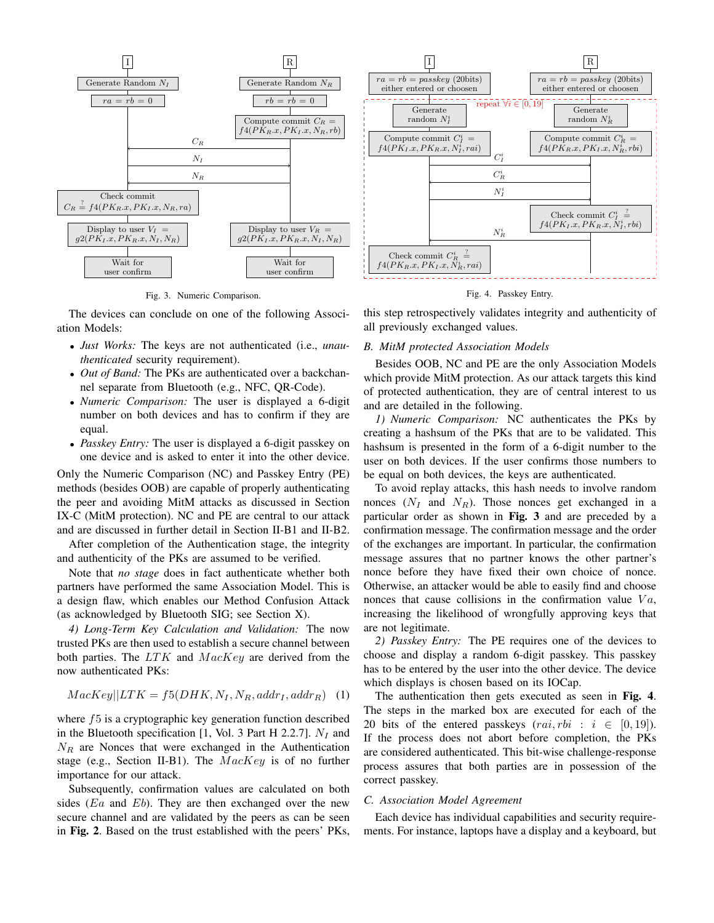

Fig. 3. Numeric Comparison.

The devices can conclude on one of the following Association Models:

- *Just Works:* The keys are not authenticated (i.e., *unauthenticated* security requirement).
- *Out of Band:* The PKs are authenticated over a backchannel separate from Bluetooth (e.g., NFC, QR-Code).
- *Numeric Comparison:* The user is displayed a 6-digit number on both devices and has to confirm if they are equal.
- *Passkey Entry:* The user is displayed a 6-digit passkey on one device and is asked to enter it into the other device.

Only the Numeric Comparison (NC) and Passkey Entry (PE) methods (besides OOB) are capable of properly authenticating the peer and avoiding MitM attacks as discussed in Section IX-C (MitM protection). NC and PE are central to our attack and are discussed in further detail in Section II-B1 and II-B2.

After completion of the Authentication stage, the integrity and authenticity of the PKs are assumed to be verified.

Note that *no stage* does in fact authenticate whether both partners have performed the same Association Model. This is a design flaw, which enables our Method Confusion Attack (as acknowledged by Bluetooth SIG; see Section X).

*4) Long-Term Key Calculation and Validation:* The now trusted PKs are then used to establish a secure channel between both parties. The  $LTK$  and  $MacKey$  are derived from the now authenticated PKs:

$$
MacKey||LTK = f5(DHK, N_I, N_R, addr_I, addr_R) \quad (1)
$$

where f<sub>5</sub> is a cryptographic key generation function described in the Bluetooth specification [1, Vol. 3 Part H 2.2.7].  $N_I$  and  $N_R$  are Nonces that were exchanged in the Authentication stage (e.g., Section II-B1). The  $MacKey$  is of no further importance for our attack.

Subsequently, confirmation values are calculated on both sides ( $E_a$  and  $Eb$ ). They are then exchanged over the new secure channel and are validated by the peers as can be seen in Fig. 2. Based on the trust established with the peers' PKs,



Fig. 4. Passkey Entry.

this step retrospectively validates integrity and authenticity of all previously exchanged values.

#### *B. MitM protected Association Models*

Besides OOB, NC and PE are the only Association Models which provide MitM protection. As our attack targets this kind of protected authentication, they are of central interest to us and are detailed in the following.

*1) Numeric Comparison:* NC authenticates the PKs by creating a hashsum of the PKs that are to be validated. This hashsum is presented in the form of a 6-digit number to the user on both devices. If the user confirms those numbers to be equal on both devices, the keys are authenticated.

To avoid replay attacks, this hash needs to involve random nonces  $(N_I \text{ and } N_R)$ . Those nonces get exchanged in a particular order as shown in Fig. 3 and are preceded by a confirmation message. The confirmation message and the order of the exchanges are important. In particular, the confirmation message assures that no partner knows the other partner's nonce before they have fixed their own choice of nonce. Otherwise, an attacker would be able to easily find and choose nonces that cause collisions in the confirmation value  $Va$ , increasing the likelihood of wrongfully approving keys that are not legitimate.

*2) Passkey Entry:* The PE requires one of the devices to choose and display a random 6-digit passkey. This passkey has to be entered by the user into the other device. The device which displays is chosen based on its IOCap.

The authentication then gets executed as seen in Fig. 4. The steps in the marked box are executed for each of the 20 bits of the entered passkeys  $(rai, rbi : i \in [0, 19])$ . If the process does not abort before completion, the PKs are considered authenticated. This bit-wise challenge-response process assures that both parties are in possession of the correct passkey.

#### *C. Association Model Agreement*

Each device has individual capabilities and security requirements. For instance, laptops have a display and a keyboard, but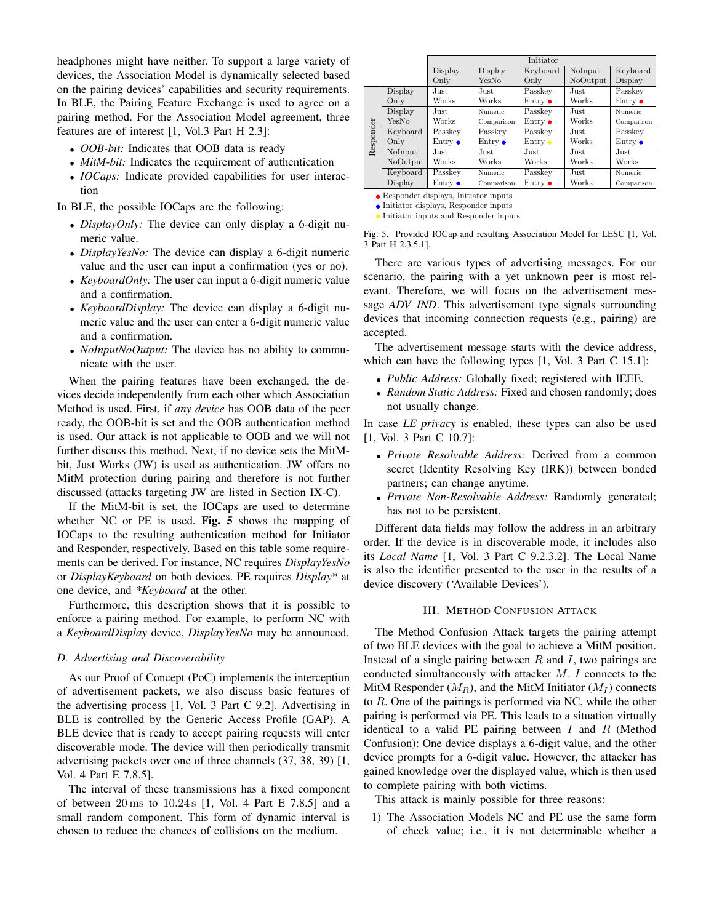headphones might have neither. To support a large variety of devices, the Association Model is dynamically selected based on the pairing devices' capabilities and security requirements. In BLE, the Pairing Feature Exchange is used to agree on a pairing method. For the Association Model agreement, three features are of interest [1, Vol.3 Part H 2.3]:

- *OOB-bit:* Indicates that OOB data is ready
- *MitM-bit:* Indicates the requirement of authentication
- *IOCaps:* Indicate provided capabilities for user interaction

In BLE, the possible IOCaps are the following:

- *DisplayOnly:* The device can only display a 6-digit numeric value.
- *DisplayYesNo:* The device can display a 6-digit numeric value and the user can input a confirmation (yes or no).
- *KeyboardOnly:* The user can input a 6-digit numeric value and a confirmation.
- *KeyboardDisplay:* The device can display a 6-digit numeric value and the user can enter a 6-digit numeric value and a confirmation.
- *NoInputNoOutput:* The device has no ability to communicate with the user.

When the pairing features have been exchanged, the devices decide independently from each other which Association Method is used. First, if *any device* has OOB data of the peer ready, the OOB-bit is set and the OOB authentication method is used. Our attack is not applicable to OOB and we will not further discuss this method. Next, if no device sets the MitMbit, Just Works (JW) is used as authentication. JW offers no MitM protection during pairing and therefore is not further discussed (attacks targeting JW are listed in Section IX-C).

If the MitM-bit is set, the IOCaps are used to determine whether NC or PE is used. Fig. 5 shows the mapping of IOCaps to the resulting authentication method for Initiator and Responder, respectively. Based on this table some requirements can be derived. For instance, NC requires *DisplayYesNo* or *DisplayKeyboard* on both devices. PE requires *Display\** at one device, and *\*Keyboard* at the other.

Furthermore, this description shows that it is possible to enforce a pairing method. For example, to perform NC with a *KeyboardDisplay* device, *DisplayYesNo* may be announced.

## *D. Advertising and Discoverability*

As our Proof of Concept (PoC) implements the interception of advertisement packets, we also discuss basic features of the advertising process [1, Vol. 3 Part C 9.2]. Advertising in BLE is controlled by the Generic Access Profile (GAP). A BLE device that is ready to accept pairing requests will enter discoverable mode. The device will then periodically transmit advertising packets over one of three channels (37, 38, 39) [1, Vol. 4 Part E 7.8.5].

The interval of these transmissions has a fixed component of between  $20 \text{ ms}$  to  $10.24 \text{ s}$  [1, Vol. 4 Part E 7.8.5] and a small random component. This form of dynamic interval is chosen to reduce the chances of collisions on the medium.

|           |          | Initiator              |                 |                 |          |                 |
|-----------|----------|------------------------|-----------------|-----------------|----------|-----------------|
|           |          | Display                | Display         | Keyboard        | NoInput  | Keyboard        |
|           |          | Only                   | YesNo           | Only            | NoOutput | Display         |
|           | Display  | Just                   | Just            | Passkey         | Just.    | Passkev         |
|           | Only     | Works                  | Works           | Entry $\bullet$ | Works    | Entry $\bullet$ |
|           | Display  | Just                   | <b>Numeric</b>  | Passkey         | Just.    | Numeric         |
|           | YesNo    | Works                  | Comparison      | Entry $\bullet$ | Works    | Comparison      |
| Responder | Keyboard | Passkey                | Passkey         | Passkey         | Just.    | Passkey         |
|           | Only     | $\rm{Entry}$ $\bullet$ | Entry $\bullet$ | Entry $\bullet$ | Works    | Entry $\bullet$ |
|           | NoInput  | Just                   | Just            | Just            | Just.    | Just            |
|           | NoOutput | Works                  | Works           | Works           | Works    | Works           |
|           | Keyboard | Passkey                | Numeric         | Passkey         | Just.    | Numeric         |
|           | Display  | $\rm{Entry}$ $\bullet$ | Comparison      | Entry $\bullet$ | Works    | Comparison      |
|           |          |                        |                 |                 |          |                 |

Responder displays, Initiator inputs

3 Part H 2.3.5.1].

 $\bullet$  Initiator displays, Responder inputs • Initiator inputs and Responder inputs

Fig. 5. Provided IOCap and resulting Association Model for LESC [1, Vol.

There are various types of advertising messages. For our scenario, the pairing with a yet unknown peer is most relevant. Therefore, we will focus on the advertisement message *ADV IND*. This advertisement type signals surrounding devices that incoming connection requests (e.g., pairing) are accepted.

The advertisement message starts with the device address, which can have the following types [1, Vol. 3 Part C 15.1]:

- *Public Address:* Globally fixed; registered with IEEE.
- *Random Static Address:* Fixed and chosen randomly; does not usually change.

In case *LE privacy* is enabled, these types can also be used [1, Vol. 3 Part C 10.7]:

- *Private Resolvable Address:* Derived from a common secret (Identity Resolving Key (IRK)) between bonded partners; can change anytime.
- *Private Non-Resolvable Address:* Randomly generated; has not to be persistent.

Different data fields may follow the address in an arbitrary order. If the device is in discoverable mode, it includes also its *Local Name* [1, Vol. 3 Part C 9.2.3.2]. The Local Name is also the identifier presented to the user in the results of a device discovery ('Available Devices').

# III. METHOD CONFUSION ATTACK

The Method Confusion Attack targets the pairing attempt of two BLE devices with the goal to achieve a MitM position. Instead of a single pairing between  $R$  and  $I$ , two pairings are conducted simultaneously with attacker M. I connects to the MitM Responder  $(M_R)$ , and the MitM Initiator  $(M_I)$  connects to  $R$ . One of the pairings is performed via NC, while the other pairing is performed via PE. This leads to a situation virtually identical to a valid PE pairing between  $I$  and  $R$  (Method Confusion): One device displays a 6-digit value, and the other device prompts for a 6-digit value. However, the attacker has gained knowledge over the displayed value, which is then used to complete pairing with both victims.

This attack is mainly possible for three reasons:

1) The Association Models NC and PE use the same form of check value; i.e., it is not determinable whether a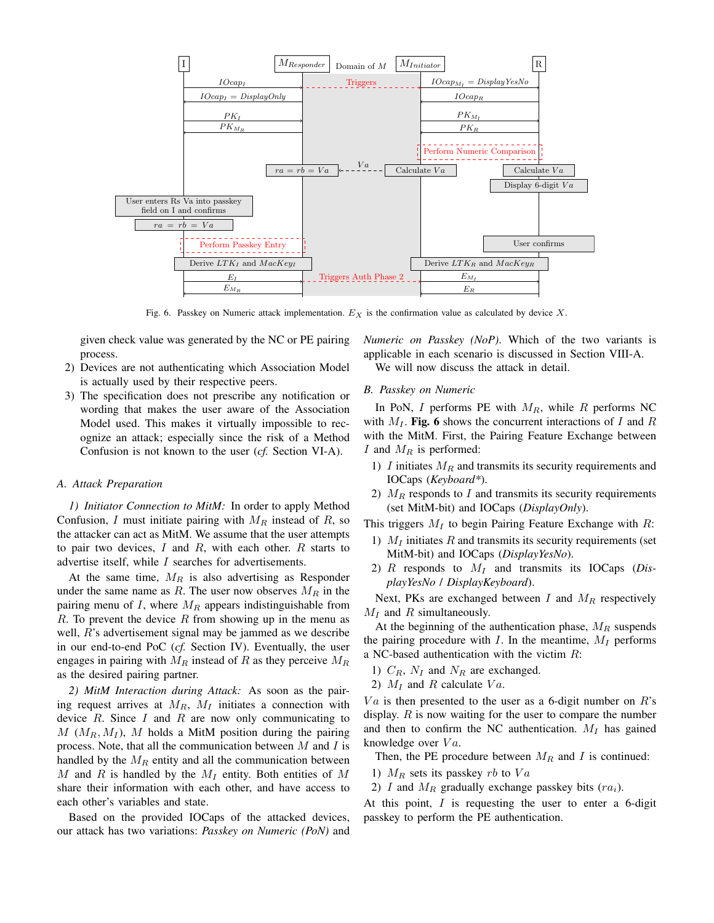

Fig. 6. Passkey on Numeric attack implementation.  $E_X$  is the confirmation value as calculated by device X.

given check value was generated by the NC or PE pairing process.

- 2) Devices are not authenticating which Association Model is actually used by their respective peers.
- 3) The specification does not prescribe any notification or wording that makes the user aware of the Association Model used. This makes it virtually impossible to recognize an attack; especially since the risk of a Method Confusion is not known to the user (*cf.* Section VI-A).

#### *A. Attack Preparation*

*1) Initiator Connection to MitM:* In order to apply Method Confusion, I must initiate pairing with  $M_R$  instead of R, so the attacker can act as MitM. We assume that the user attempts to pair two devices,  $I$  and  $R$ , with each other.  $R$  starts to advertise itself, while I searches for advertisements.

At the same time,  $M_R$  is also advertising as Responder under the same name as R. The user now observes  $M_R$  in the pairing menu of I, where  $M_R$  appears indistinguishable from  $R$ . To prevent the device  $R$  from showing up in the menu as well, R's advertisement signal may be jammed as we describe in our end-to-end PoC (*cf.* Section IV). Eventually, the user engages in pairing with  $M_R$  instead of R as they perceive  $M_R$ as the desired pairing partner.

*2) MitM Interaction during Attack:* As soon as the pairing request arrives at  $M_R$ ,  $M_I$  initiates a connection with device  $R$ . Since  $I$  and  $R$  are now only communicating to  $M(M_R, M_I)$ , M holds a MitM position during the pairing process. Note, that all the communication between  $M$  and  $I$  is handled by the  $M_R$  entity and all the communication between M and R is handled by the  $M_I$  entity. Both entities of M share their information with each other, and have access to each other's variables and state.

Based on the provided IOCaps of the attacked devices, our attack has two variations: *Passkey on Numeric (PoN)* and *Numeric on Passkey (NoP)*. Which of the two variants is applicable in each scenario is discussed in Section VIII-A. We will now discuss the attack in detail.

#### *B. Passkey on Numeric*

In PoN, I performs PE with  $M_R$ , while R performs NC with  $M_I$ . Fig. 6 shows the concurrent interactions of I and R with the MitM. First, the Pairing Feature Exchange between  $I$  and  $M_R$  is performed:

- 1)  $I$  initiates  $M_R$  and transmits its security requirements and IOCaps (*Keyboard\**).
- 2)  $M_R$  responds to I and transmits its security requirements (set MitM-bit) and IOCaps (*DisplayOnly*).

This triggers  $M_I$  to begin Pairing Feature Exchange with R:

- 1)  $M_I$  initiates R and transmits its security requirements (set MitM-bit) and IOCaps (*DisplayYesNo*).
- 2)  $R$  responds to  $M_I$  and transmits its IOCaps (*DisplayYesNo* / *DisplayKeyboard*).

Next, PKs are exchanged between I and  $M_R$  respectively  $M_I$  and R simultaneously.

At the beginning of the authentication phase,  $M_R$  suspends the pairing procedure with  $I$ . In the meantime,  $M_I$  performs a NC-based authentication with the victim  $R$ :

- 1)  $C_R$ ,  $N_I$  and  $N_R$  are exchanged.
- 2)  $M_I$  and R calculate  $Va$ .

 $Va$  is then presented to the user as a 6-digit number on  $R$ 's display.  $R$  is now waiting for the user to compare the number and then to confirm the NC authentication.  $M_I$  has gained knowledge over  $Va$ .

Then, the PE procedure between  $M_R$  and I is continued:

- 1)  $M_R$  sets its passkey *rb* to  $Va$
- 2)  $I$  and  $M_R$  gradually exchange passkey bits  $(r a_i)$ .

At this point,  $I$  is requesting the user to enter a 6-digit passkey to perform the PE authentication.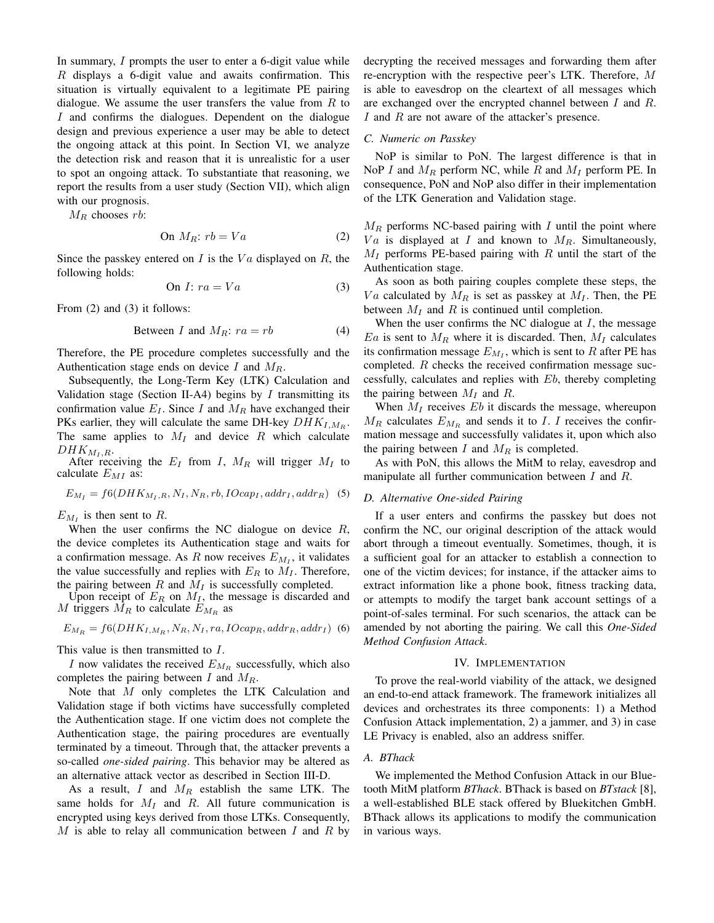In summary,  $I$  prompts the user to enter a 6-digit value while R displays a 6-digit value and awaits confirmation. This situation is virtually equivalent to a legitimate PE pairing dialogue. We assume the user transfers the value from  $R$  to I and confirms the dialogues. Dependent on the dialogue design and previous experience a user may be able to detect the ongoing attack at this point. In Section VI, we analyze the detection risk and reason that it is unrealistic for a user to spot an ongoing attack. To substantiate that reasoning, we report the results from a user study (Section VII), which align with our prognosis.

 $M_R$  chooses rb:

On 
$$
M_R
$$
:  $rb = Va$  (2)

Since the passkey entered on I is the  $Va$  displayed on R, the following holds:

On 
$$
I: ra = Va
$$
 (3)

From (2) and (3) it follows:

$$
Between I and MR: ra = rb
$$
 (4)

Therefore, the PE procedure completes successfully and the Authentication stage ends on device I and  $M_R$ .

Subsequently, the Long-Term Key (LTK) Calculation and Validation stage (Section II-A4) begins by  $I$  transmitting its confirmation value  $E_I$ . Since I and  $M_R$  have exchanged their PKs earlier, they will calculate the same DH-key  $DHK<sub>I, M<sub>R</sub></sub>$ . The same applies to  $M_I$  and device R which calculate  $DHK_{M_I,R}.$ 

After receiving the  $E_I$  from I,  $M_R$  will trigger  $M_I$  to calculate  $E_{MI}$  as:

$$
E_{M_I} = f6(DHK_{M_I,R}, N_I, N_R, rb, IOcap_I,addr_I,addr_R)
$$
 (5)

 $E_{M_I}$  is then sent to R.

When the user confirms the NC dialogue on device  $R$ , the device completes its Authentication stage and waits for a confirmation message. As R now receives  $E_{M_I}$ , it validates the value successfully and replies with  $E_R$  to  $M_I$ . Therefore, the pairing between  $R$  and  $M_I$  is successfully completed.

Upon receipt of  $E_R$  on  $M_I$ , the message is discarded and M triggers  $\tilde{M_R}$  to calculate  $E_{M_R}$  as

$$
E_{M_R} = f6(DHK_{I,M_R}, N_R, N_I, ra, IOcap_R,addr_R,addr_I)
$$
 (6)

This value is then transmitted to I.

I now validates the received  $E_{M_R}$  successfully, which also completes the pairing between  $I$  and  $M_R$ .

Note that M only completes the LTK Calculation and Validation stage if both victims have successfully completed the Authentication stage. If one victim does not complete the Authentication stage, the pairing procedures are eventually terminated by a timeout. Through that, the attacker prevents a so-called *one-sided pairing*. This behavior may be altered as an alternative attack vector as described in Section III-D.

As a result, I and  $M_R$  establish the same LTK. The same holds for  $M_I$  and  $R$ . All future communication is encrypted using keys derived from those LTKs. Consequently, M is able to relay all communication between I and R by decrypting the received messages and forwarding them after re-encryption with the respective peer's LTK. Therefore, M is able to eavesdrop on the cleartext of all messages which are exchanged over the encrypted channel between I and R. I and  $R$  are not aware of the attacker's presence.

# *C. Numeric on Passkey*

NoP is similar to PoN. The largest difference is that in NoP I and  $M_R$  perform NC, while R and  $M_I$  perform PE. In consequence, PoN and NoP also differ in their implementation of the LTK Generation and Validation stage.

 $M_R$  performs NC-based pairing with I until the point where  $Va$  is displayed at I and known to  $M_R$ . Simultaneously,  $M_I$  performs PE-based pairing with R until the start of the Authentication stage.

As soon as both pairing couples complete these steps, the  $Va$  calculated by  $M_R$  is set as passkey at  $M_I$ . Then, the PE between  $M_I$  and R is continued until completion.

When the user confirms the NC dialogue at  $I$ , the message  $E_a$  is sent to  $M_R$  where it is discarded. Then,  $M_I$  calculates its confirmation message  $E_{M_I}$ , which is sent to R after PE has completed. R checks the received confirmation message successfully, calculates and replies with Eb, thereby completing the pairing between  $M_I$  and  $R$ .

When  $M_I$  receives  $Eb$  it discards the message, whereupon  $M_R$  calculates  $E_{M_R}$  and sends it to I. I receives the confirmation message and successfully validates it, upon which also the pairing between I and  $M_R$  is completed.

As with PoN, this allows the MitM to relay, eavesdrop and manipulate all further communication between I and R.

# *D. Alternative One-sided Pairing*

If a user enters and confirms the passkey but does not confirm the NC, our original description of the attack would abort through a timeout eventually. Sometimes, though, it is a sufficient goal for an attacker to establish a connection to one of the victim devices; for instance, if the attacker aims to extract information like a phone book, fitness tracking data, or attempts to modify the target bank account settings of a point-of-sales terminal. For such scenarios, the attack can be amended by not aborting the pairing. We call this *One-Sided Method Confusion Attack*.

#### IV. IMPLEMENTATION

To prove the real-world viability of the attack, we designed an end-to-end attack framework. The framework initializes all devices and orchestrates its three components: 1) a Method Confusion Attack implementation, 2) a jammer, and 3) in case LE Privacy is enabled, also an address sniffer.

# *A. BThack*

We implemented the Method Confusion Attack in our Bluetooth MitM platform *BThack*. BThack is based on *BTstack* [8], a well-established BLE stack offered by Bluekitchen GmbH. BThack allows its applications to modify the communication in various ways.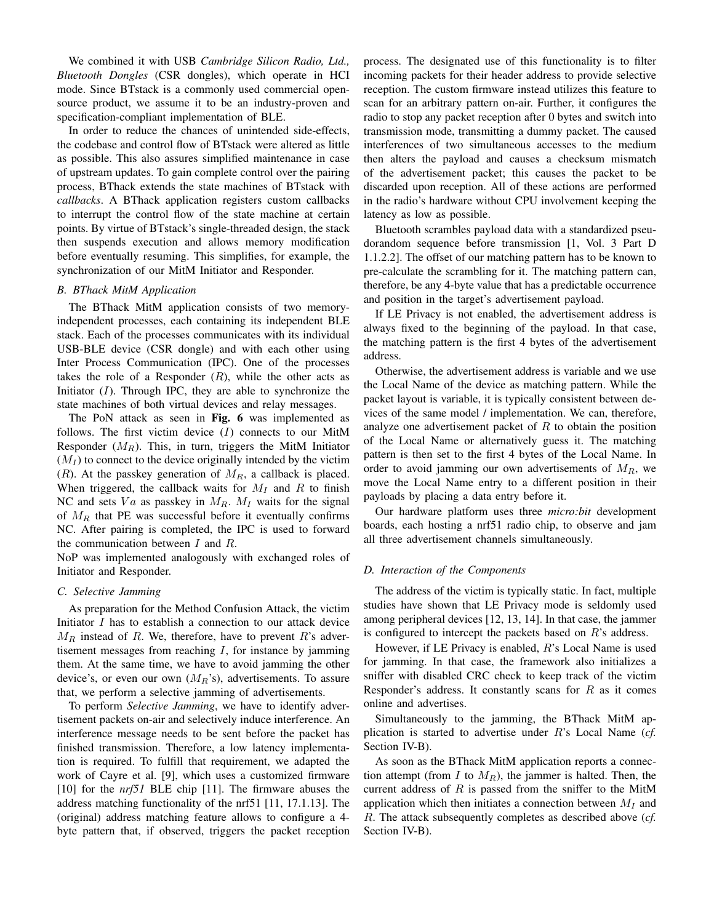We combined it with USB *Cambridge Silicon Radio, Ltd., Bluetooth Dongles* (CSR dongles), which operate in HCI mode. Since BTstack is a commonly used commercial opensource product, we assume it to be an industry-proven and specification-compliant implementation of BLE.

In order to reduce the chances of unintended side-effects, the codebase and control flow of BTstack were altered as little as possible. This also assures simplified maintenance in case of upstream updates. To gain complete control over the pairing process, BThack extends the state machines of BTstack with *callbacks*. A BThack application registers custom callbacks to interrupt the control flow of the state machine at certain points. By virtue of BTstack's single-threaded design, the stack then suspends execution and allows memory modification before eventually resuming. This simplifies, for example, the synchronization of our MitM Initiator and Responder.

# *B. BThack MitM Application*

The BThack MitM application consists of two memoryindependent processes, each containing its independent BLE stack. Each of the processes communicates with its individual USB-BLE device (CSR dongle) and with each other using Inter Process Communication (IPC). One of the processes takes the role of a Responder  $(R)$ , while the other acts as Initiator  $(I)$ . Through IPC, they are able to synchronize the state machines of both virtual devices and relay messages.

The PoN attack as seen in Fig. 6 was implemented as follows. The first victim device  $(I)$  connects to our MitM Responder  $(M_R)$ . This, in turn, triggers the MitM Initiator  $(M_I)$  to connect to the device originally intended by the victim  $(R)$ . At the passkey generation of  $M_R$ , a callback is placed. When triggered, the callback waits for  $M_I$  and R to finish NC and sets  $Va$  as passkey in  $M_R$ .  $M_I$  waits for the signal of  $M_R$  that PE was successful before it eventually confirms NC. After pairing is completed, the IPC is used to forward the communication between  $I$  and  $R$ .

NoP was implemented analogously with exchanged roles of Initiator and Responder.

#### *C. Selective Jamming*

As preparation for the Method Confusion Attack, the victim Initiator I has to establish a connection to our attack device  $M_R$  instead of R. We, therefore, have to prevent R's advertisement messages from reaching  $I$ , for instance by jamming them. At the same time, we have to avoid jamming the other device's, or even our own  $(M_R)$ 's), advertisements. To assure that, we perform a selective jamming of advertisements.

To perform *Selective Jamming*, we have to identify advertisement packets on-air and selectively induce interference. An interference message needs to be sent before the packet has finished transmission. Therefore, a low latency implementation is required. To fulfill that requirement, we adapted the work of Cayre et al. [9], which uses a customized firmware [10] for the *nrf51* BLE chip [11]. The firmware abuses the address matching functionality of the nrf51 [11, 17.1.13]. The (original) address matching feature allows to configure a 4 byte pattern that, if observed, triggers the packet reception process. The designated use of this functionality is to filter incoming packets for their header address to provide selective reception. The custom firmware instead utilizes this feature to scan for an arbitrary pattern on-air. Further, it configures the radio to stop any packet reception after 0 bytes and switch into transmission mode, transmitting a dummy packet. The caused interferences of two simultaneous accesses to the medium then alters the payload and causes a checksum mismatch of the advertisement packet; this causes the packet to be discarded upon reception. All of these actions are performed in the radio's hardware without CPU involvement keeping the latency as low as possible.

Bluetooth scrambles payload data with a standardized pseudorandom sequence before transmission [1, Vol. 3 Part D 1.1.2.2]. The offset of our matching pattern has to be known to pre-calculate the scrambling for it. The matching pattern can, therefore, be any 4-byte value that has a predictable occurrence and position in the target's advertisement payload.

If LE Privacy is not enabled, the advertisement address is always fixed to the beginning of the payload. In that case, the matching pattern is the first 4 bytes of the advertisement address.

Otherwise, the advertisement address is variable and we use the Local Name of the device as matching pattern. While the packet layout is variable, it is typically consistent between devices of the same model / implementation. We can, therefore, analyze one advertisement packet of  $R$  to obtain the position of the Local Name or alternatively guess it. The matching pattern is then set to the first 4 bytes of the Local Name. In order to avoid jamming our own advertisements of  $M_R$ , we move the Local Name entry to a different position in their payloads by placing a data entry before it.

Our hardware platform uses three *micro:bit* development boards, each hosting a nrf51 radio chip, to observe and jam all three advertisement channels simultaneously.

#### *D. Interaction of the Components*

The address of the victim is typically static. In fact, multiple studies have shown that LE Privacy mode is seldomly used among peripheral devices [12, 13, 14]. In that case, the jammer is configured to intercept the packets based on R's address.

However, if LE Privacy is enabled, R's Local Name is used for jamming. In that case, the framework also initializes a sniffer with disabled CRC check to keep track of the victim Responder's address. It constantly scans for  $R$  as it comes online and advertises.

Simultaneously to the jamming, the BThack MitM application is started to advertise under R's Local Name (*cf.* Section IV-B).

As soon as the BThack MitM application reports a connection attempt (from  $I$  to  $M_R$ ), the jammer is halted. Then, the current address of  $R$  is passed from the sniffer to the MitM application which then initiates a connection between  $M_I$  and R. The attack subsequently completes as described above (*cf.* Section IV-B).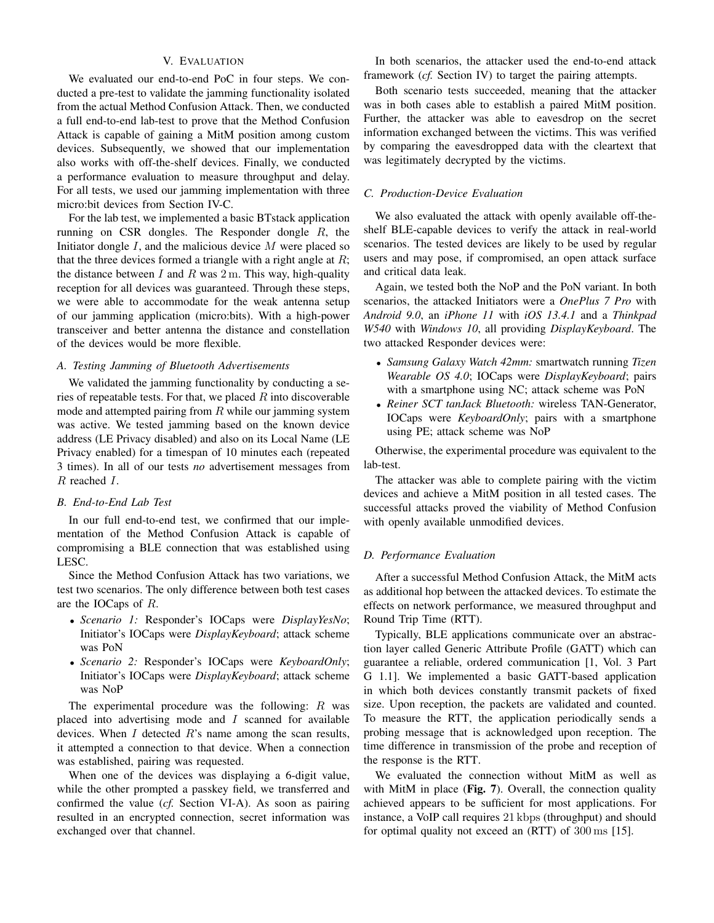# V. EVALUATION

We evaluated our end-to-end PoC in four steps. We conducted a pre-test to validate the jamming functionality isolated from the actual Method Confusion Attack. Then, we conducted a full end-to-end lab-test to prove that the Method Confusion Attack is capable of gaining a MitM position among custom devices. Subsequently, we showed that our implementation also works with off-the-shelf devices. Finally, we conducted a performance evaluation to measure throughput and delay. For all tests, we used our jamming implementation with three micro:bit devices from Section IV-C.

For the lab test, we implemented a basic BTstack application running on CSR dongles. The Responder dongle  $R$ , the Initiator dongle  $I$ , and the malicious device  $M$  were placed so that the three devices formed a triangle with a right angle at  $R$ ; the distance between  $I$  and  $R$  was  $2$  m. This way, high-quality reception for all devices was guaranteed. Through these steps, we were able to accommodate for the weak antenna setup of our jamming application (micro:bits). With a high-power transceiver and better antenna the distance and constellation of the devices would be more flexible.

# *A. Testing Jamming of Bluetooth Advertisements*

We validated the jamming functionality by conducting a series of repeatable tests. For that, we placed  $R$  into discoverable mode and attempted pairing from  $R$  while our jamming system was active. We tested jamming based on the known device address (LE Privacy disabled) and also on its Local Name (LE Privacy enabled) for a timespan of 10 minutes each (repeated 3 times). In all of our tests *no* advertisement messages from R reached I.

## *B. End-to-End Lab Test*

In our full end-to-end test, we confirmed that our implementation of the Method Confusion Attack is capable of compromising a BLE connection that was established using LESC.

Since the Method Confusion Attack has two variations, we test two scenarios. The only difference between both test cases are the IOCaps of R.

- *Scenario 1:* Responder's IOCaps were *DisplayYesNo*; Initiator's IOCaps were *DisplayKeyboard*; attack scheme was PoN
- *Scenario 2:* Responder's IOCaps were *KeyboardOnly*; Initiator's IOCaps were *DisplayKeyboard*; attack scheme was NoP

The experimental procedure was the following:  $R$  was placed into advertising mode and  $I$  scanned for available devices. When  $I$  detected  $R$ 's name among the scan results, it attempted a connection to that device. When a connection was established, pairing was requested.

When one of the devices was displaying a 6-digit value, while the other prompted a passkey field, we transferred and confirmed the value (*cf.* Section VI-A). As soon as pairing resulted in an encrypted connection, secret information was exchanged over that channel.

In both scenarios, the attacker used the end-to-end attack framework (*cf.* Section IV) to target the pairing attempts.

Both scenario tests succeeded, meaning that the attacker was in both cases able to establish a paired MitM position. Further, the attacker was able to eavesdrop on the secret information exchanged between the victims. This was verified by comparing the eavesdropped data with the cleartext that was legitimately decrypted by the victims.

## *C. Production-Device Evaluation*

We also evaluated the attack with openly available off-theshelf BLE-capable devices to verify the attack in real-world scenarios. The tested devices are likely to be used by regular users and may pose, if compromised, an open attack surface and critical data leak.

Again, we tested both the NoP and the PoN variant. In both scenarios, the attacked Initiators were a *OnePlus 7 Pro* with *Android 9.0*, an *iPhone 11* with *iOS 13.4.1* and a *Thinkpad W540* with *Windows 10*, all providing *DisplayKeyboard*. The two attacked Responder devices were:

- *Samsung Galaxy Watch 42mm:* smartwatch running *Tizen Wearable OS 4.0*; IOCaps were *DisplayKeyboard*; pairs with a smartphone using NC; attack scheme was PoN
- *Reiner SCT tanJack Bluetooth:* wireless TAN-Generator, IOCaps were *KeyboardOnly*; pairs with a smartphone using PE; attack scheme was NoP

Otherwise, the experimental procedure was equivalent to the lab-test.

The attacker was able to complete pairing with the victim devices and achieve a MitM position in all tested cases. The successful attacks proved the viability of Method Confusion with openly available unmodified devices.

## *D. Performance Evaluation*

After a successful Method Confusion Attack, the MitM acts as additional hop between the attacked devices. To estimate the effects on network performance, we measured throughput and Round Trip Time (RTT).

Typically, BLE applications communicate over an abstraction layer called Generic Attribute Profile (GATT) which can guarantee a reliable, ordered communication [1, Vol. 3 Part G 1.1]. We implemented a basic GATT-based application in which both devices constantly transmit packets of fixed size. Upon reception, the packets are validated and counted. To measure the RTT, the application periodically sends a probing message that is acknowledged upon reception. The time difference in transmission of the probe and reception of the response is the RTT.

We evaluated the connection without MitM as well as with MitM in place (Fig. 7). Overall, the connection quality achieved appears to be sufficient for most applications. For instance, a VoIP call requires 21 kbps (throughput) and should for optimal quality not exceed an (RTT) of 300 ms [15].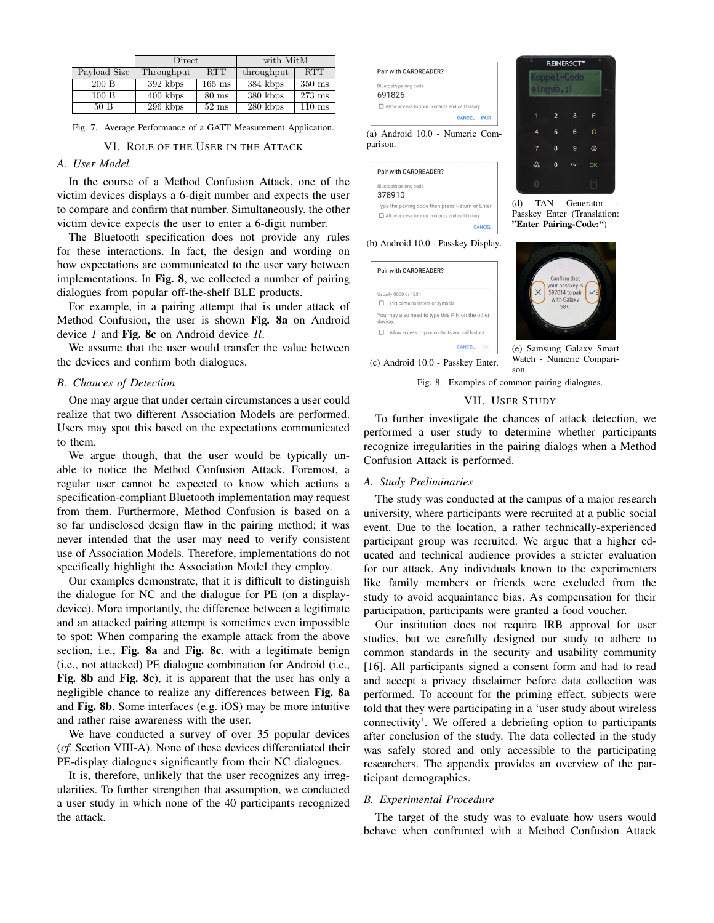|              | Direct     |                 | with MitM  |                  |
|--------------|------------|-----------------|------------|------------------|
| Payload Size | Throughput | <b>RTT</b>      | throughput | <b>RTT</b>       |
| 200 B        | 392 kbps   | $165$ ms        | 384 kbps   | $350 \text{ ms}$ |
| 100B         | $400$ kbps | $80 \text{ ms}$ | 380 kbps   | $273$ ms         |
| 50B          | $296$ kbps | $52 \text{ ms}$ | 280 kbps   | $110 \text{ ms}$ |

Fig. 7. Average Performance of a GATT Measurement Application.

#### VI. ROLE OF THE USER IN THE ATTACK

# *A. User Model*

In the course of a Method Confusion Attack, one of the victim devices displays a 6-digit number and expects the user to compare and confirm that number. Simultaneously, the other victim device expects the user to enter a 6-digit number.

The Bluetooth specification does not provide any rules for these interactions. In fact, the design and wording on how expectations are communicated to the user vary between implementations. In Fig. 8, we collected a number of pairing dialogues from popular off-the-shelf BLE products.

For example, in a pairing attempt that is under attack of Method Confusion, the user is shown Fig. 8a on Android device  $I$  and Fig. 8c on Android device  $R$ .

We assume that the user would transfer the value between the devices and confirm both dialogues.

## *B. Chances of Detection*

One may argue that under certain circumstances a user could realize that two different Association Models are performed. Users may spot this based on the expectations communicated to them.

We argue though, that the user would be typically unable to notice the Method Confusion Attack. Foremost, a regular user cannot be expected to know which actions a specification-compliant Bluetooth implementation may request from them. Furthermore, Method Confusion is based on a so far undisclosed design flaw in the pairing method; it was never intended that the user may need to verify consistent use of Association Models. Therefore, implementations do not specifically highlight the Association Model they employ.

Our examples demonstrate, that it is difficult to distinguish the dialogue for NC and the dialogue for PE (on a displaydevice). More importantly, the difference between a legitimate and an attacked pairing attempt is sometimes even impossible to spot: When comparing the example attack from the above section, i.e., Fig. 8a and Fig. 8c, with a legitimate benign (i.e., not attacked) PE dialogue combination for Android (i.e., Fig. 8b and Fig. 8c), it is apparent that the user has only a negligible chance to realize any differences between Fig. 8a and Fig. 8b. Some interfaces (e.g. iOS) may be more intuitive and rather raise awareness with the user.

We have conducted a survey of over 35 popular devices (*cf.* Section VIII-A). None of these devices differentiated their PE-display dialogues significantly from their NC dialogues.

It is, therefore, unlikely that the user recognizes any irregularities. To further strengthen that assumption, we conducted a user study in which none of the 40 participants recognized the attack.



| Pair with CARDREADER?                            |  |
|--------------------------------------------------|--|
| Bluetooth pairing code<br>378910                 |  |
| Type the pairing code then press Return or Enter |  |
| Allow access to your contacts and call history   |  |
|                                                  |  |

(b) Android 10.0 - Passkey Display.

|        | Pair with CARDREADER?                           |
|--------|-------------------------------------------------|
|        | Usually 0000 or 1234                            |
|        | PIN contains letters or symbols                 |
| eniveh | You may also need to type this PIN on the other |
| ш      | Allow access to your contacts and call history  |
|        | <b>CANCEL</b><br>ΩК                             |



Fig. 8. Examples of common pairing dialogues.

# VII. USER STUDY

To further investigate the chances of attack detection, we performed a user study to determine whether participants recognize irregularities in the pairing dialogs when a Method Confusion Attack is performed.

#### *A. Study Preliminaries*

The study was conducted at the campus of a major research university, where participants were recruited at a public social event. Due to the location, a rather technically-experienced participant group was recruited. We argue that a higher educated and technical audience provides a stricter evaluation for our attack. Any individuals known to the experimenters like family members or friends were excluded from the study to avoid acquaintance bias. As compensation for their participation, participants were granted a food voucher.

Our institution does not require IRB approval for user studies, but we carefully designed our study to adhere to common standards in the security and usability community [16]. All participants signed a consent form and had to read and accept a privacy disclaimer before data collection was performed. To account for the priming effect, subjects were told that they were participating in a 'user study about wireless connectivity'. We offered a debriefing option to participants after conclusion of the study. The data collected in the study was safely stored and only accessible to the participating researchers. The appendix provides an overview of the participant demographics.

## *B. Experimental Procedure*

The target of the study was to evaluate how users would behave when confronted with a Method Confusion Attack

ල  $\alpha$ (d) TAN Generator

Passkey Enter (Translation: "Enter Pairing-Code:")



Watch - Numeric Comparison.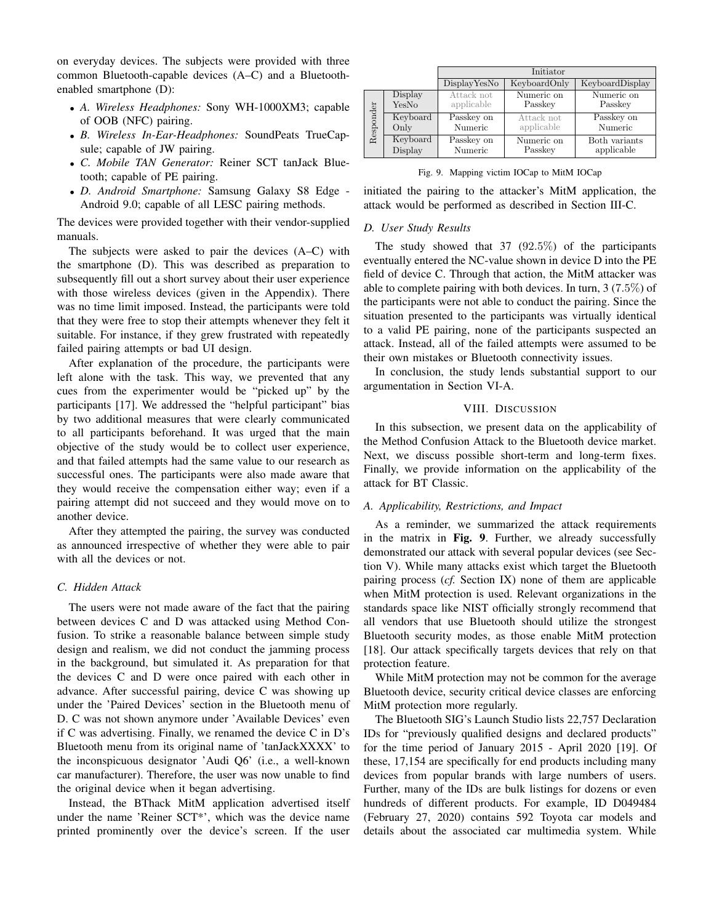on everyday devices. The subjects were provided with three common Bluetooth-capable devices (A–C) and a Bluetoothenabled smartphone (D):

- *A. Wireless Headphones:* Sony WH-1000XM3; capable of OOB (NFC) pairing.
- *B. Wireless In-Ear-Headphones:* SoundPeats TrueCapsule; capable of JW pairing.
- *C. Mobile TAN Generator:* Reiner SCT tanJack Bluetooth; capable of PE pairing.
- *D. Android Smartphone:* Samsung Galaxy S8 Edge Android 9.0; capable of all LESC pairing methods.

The devices were provided together with their vendor-supplied manuals.

The subjects were asked to pair the devices (A–C) with the smartphone (D). This was described as preparation to subsequently fill out a short survey about their user experience with those wireless devices (given in the Appendix). There was no time limit imposed. Instead, the participants were told that they were free to stop their attempts whenever they felt it suitable. For instance, if they grew frustrated with repeatedly failed pairing attempts or bad UI design.

After explanation of the procedure, the participants were left alone with the task. This way, we prevented that any cues from the experimenter would be "picked up" by the participants [17]. We addressed the "helpful participant" bias by two additional measures that were clearly communicated to all participants beforehand. It was urged that the main objective of the study would be to collect user experience, and that failed attempts had the same value to our research as successful ones. The participants were also made aware that they would receive the compensation either way; even if a pairing attempt did not succeed and they would move on to another device.

After they attempted the pairing, the survey was conducted as announced irrespective of whether they were able to pair with all the devices or not.

#### *C. Hidden Attack*

The users were not made aware of the fact that the pairing between devices C and D was attacked using Method Confusion. To strike a reasonable balance between simple study design and realism, we did not conduct the jamming process in the background, but simulated it. As preparation for that the devices C and D were once paired with each other in advance. After successful pairing, device C was showing up under the 'Paired Devices' section in the Bluetooth menu of D. C was not shown anymore under 'Available Devices' even if C was advertising. Finally, we renamed the device C in D's Bluetooth menu from its original name of 'tanJackXXXX' to the inconspicuous designator 'Audi Q6' (i.e., a well-known car manufacturer). Therefore, the user was now unable to find the original device when it began advertising.

Instead, the BThack MitM application advertised itself under the name 'Reiner SCT\*', which was the device name printed prominently over the device's screen. If the user

|           |                     | Initiator             |                       |                             |  |
|-----------|---------------------|-----------------------|-----------------------|-----------------------------|--|
|           |                     | DisplayYesNo          | KeyboardOnly          | KeyboardDisplay             |  |
|           | Display             | Attack not            | Numeric on            | Numeric on                  |  |
| Responder | YesNo               | applicable            | Passkey               | Passkey                     |  |
|           | Keyboard            | Passkey on            | Attack not            | Passkey on                  |  |
|           | Only                | Numeric               | applicable            | Numeric                     |  |
|           | Keyboard<br>Display | Passkey on<br>Numeric | Numeric on<br>Passkey | Both variants<br>applicable |  |

Fig. 9. Mapping victim IOCap to MitM IOCap

initiated the pairing to the attacker's MitM application, the attack would be performed as described in Section III-C.

#### *D. User Study Results*

The study showed that 37 (92.5%) of the participants eventually entered the NC-value shown in device D into the PE field of device C. Through that action, the MitM attacker was able to complete pairing with both devices. In turn,  $3(7.5\%)$  of the participants were not able to conduct the pairing. Since the situation presented to the participants was virtually identical to a valid PE pairing, none of the participants suspected an attack. Instead, all of the failed attempts were assumed to be their own mistakes or Bluetooth connectivity issues.

In conclusion, the study lends substantial support to our argumentation in Section VI-A.

#### VIII. DISCUSSION

In this subsection, we present data on the applicability of the Method Confusion Attack to the Bluetooth device market. Next, we discuss possible short-term and long-term fixes. Finally, we provide information on the applicability of the attack for BT Classic.

### *A. Applicability, Restrictions, and Impact*

As a reminder, we summarized the attack requirements in the matrix in Fig. 9. Further, we already successfully demonstrated our attack with several popular devices (see Section V). While many attacks exist which target the Bluetooth pairing process (*cf.* Section IX) none of them are applicable when MitM protection is used. Relevant organizations in the standards space like NIST officially strongly recommend that all vendors that use Bluetooth should utilize the strongest Bluetooth security modes, as those enable MitM protection [18]. Our attack specifically targets devices that rely on that protection feature.

While MitM protection may not be common for the average Bluetooth device, security critical device classes are enforcing MitM protection more regularly.

The Bluetooth SIG's Launch Studio lists 22,757 Declaration IDs for "previously qualified designs and declared products" for the time period of January 2015 - April 2020 [19]. Of these, 17,154 are specifically for end products including many devices from popular brands with large numbers of users. Further, many of the IDs are bulk listings for dozens or even hundreds of different products. For example, ID D049484 (February 27, 2020) contains 592 Toyota car models and details about the associated car multimedia system. While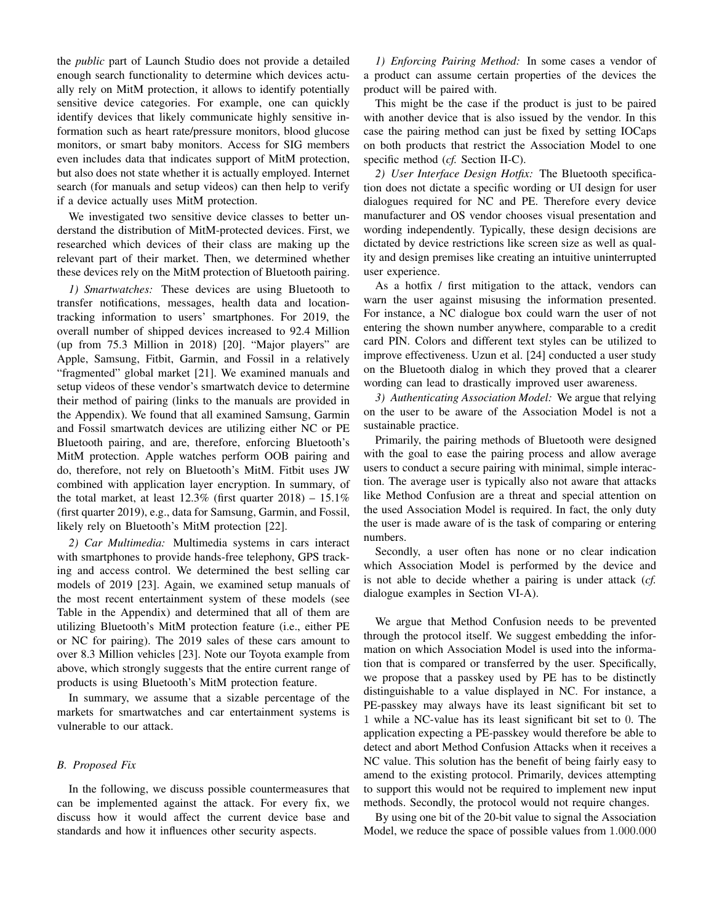the *public* part of Launch Studio does not provide a detailed enough search functionality to determine which devices actually rely on MitM protection, it allows to identify potentially sensitive device categories. For example, one can quickly identify devices that likely communicate highly sensitive information such as heart rate/pressure monitors, blood glucose monitors, or smart baby monitors. Access for SIG members even includes data that indicates support of MitM protection, but also does not state whether it is actually employed. Internet search (for manuals and setup videos) can then help to verify if a device actually uses MitM protection.

We investigated two sensitive device classes to better understand the distribution of MitM-protected devices. First, we researched which devices of their class are making up the relevant part of their market. Then, we determined whether these devices rely on the MitM protection of Bluetooth pairing.

*1) Smartwatches:* These devices are using Bluetooth to transfer notifications, messages, health data and locationtracking information to users' smartphones. For 2019, the overall number of shipped devices increased to 92.4 Million (up from 75.3 Million in 2018) [20]. "Major players" are Apple, Samsung, Fitbit, Garmin, and Fossil in a relatively "fragmented" global market [21]. We examined manuals and setup videos of these vendor's smartwatch device to determine their method of pairing (links to the manuals are provided in the Appendix). We found that all examined Samsung, Garmin and Fossil smartwatch devices are utilizing either NC or PE Bluetooth pairing, and are, therefore, enforcing Bluetooth's MitM protection. Apple watches perform OOB pairing and do, therefore, not rely on Bluetooth's MitM. Fitbit uses JW combined with application layer encryption. In summary, of the total market, at least  $12.3\%$  (first quarter  $2018$ ) –  $15.1\%$ (first quarter 2019), e.g., data for Samsung, Garmin, and Fossil, likely rely on Bluetooth's MitM protection [22].

*2) Car Multimedia:* Multimedia systems in cars interact with smartphones to provide hands-free telephony, GPS tracking and access control. We determined the best selling car models of 2019 [23]. Again, we examined setup manuals of the most recent entertainment system of these models (see Table in the Appendix) and determined that all of them are utilizing Bluetooth's MitM protection feature (i.e., either PE or NC for pairing). The 2019 sales of these cars amount to over 8.3 Million vehicles [23]. Note our Toyota example from above, which strongly suggests that the entire current range of products is using Bluetooth's MitM protection feature.

In summary, we assume that a sizable percentage of the markets for smartwatches and car entertainment systems is vulnerable to our attack.

## *B. Proposed Fix*

In the following, we discuss possible countermeasures that can be implemented against the attack. For every fix, we discuss how it would affect the current device base and standards and how it influences other security aspects.

*1) Enforcing Pairing Method:* In some cases a vendor of a product can assume certain properties of the devices the product will be paired with.

This might be the case if the product is just to be paired with another device that is also issued by the vendor. In this case the pairing method can just be fixed by setting IOCaps on both products that restrict the Association Model to one specific method (*cf.* Section II-C).

*2) User Interface Design Hotfix:* The Bluetooth specification does not dictate a specific wording or UI design for user dialogues required for NC and PE. Therefore every device manufacturer and OS vendor chooses visual presentation and wording independently. Typically, these design decisions are dictated by device restrictions like screen size as well as quality and design premises like creating an intuitive uninterrupted user experience.

As a hotfix / first mitigation to the attack, vendors can warn the user against misusing the information presented. For instance, a NC dialogue box could warn the user of not entering the shown number anywhere, comparable to a credit card PIN. Colors and different text styles can be utilized to improve effectiveness. Uzun et al. [24] conducted a user study on the Bluetooth dialog in which they proved that a clearer wording can lead to drastically improved user awareness.

*3) Authenticating Association Model:* We argue that relying on the user to be aware of the Association Model is not a sustainable practice.

Primarily, the pairing methods of Bluetooth were designed with the goal to ease the pairing process and allow average users to conduct a secure pairing with minimal, simple interaction. The average user is typically also not aware that attacks like Method Confusion are a threat and special attention on the used Association Model is required. In fact, the only duty the user is made aware of is the task of comparing or entering numbers.

Secondly, a user often has none or no clear indication which Association Model is performed by the device and is not able to decide whether a pairing is under attack (*cf.* dialogue examples in Section VI-A).

We argue that Method Confusion needs to be prevented through the protocol itself. We suggest embedding the information on which Association Model is used into the information that is compared or transferred by the user. Specifically, we propose that a passkey used by PE has to be distinctly distinguishable to a value displayed in NC. For instance, a PE-passkey may always have its least significant bit set to 1 while a NC-value has its least significant bit set to 0. The application expecting a PE-passkey would therefore be able to detect and abort Method Confusion Attacks when it receives a NC value. This solution has the benefit of being fairly easy to amend to the existing protocol. Primarily, devices attempting to support this would not be required to implement new input methods. Secondly, the protocol would not require changes.

By using one bit of the 20-bit value to signal the Association Model, we reduce the space of possible values from 1.000.000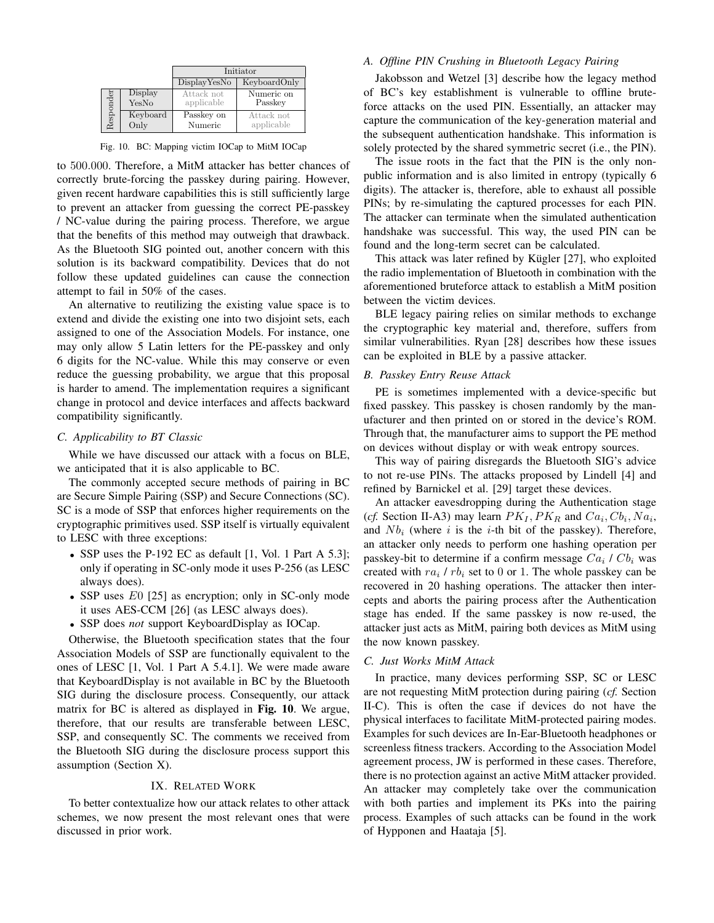|           |          | Initiator    |              |  |
|-----------|----------|--------------|--------------|--|
|           |          | DisplayYesNo | KeyboardOnly |  |
| desponder | Display  | Attack not   | Numeric on   |  |
|           | YesNo    | applicable   | Passkey      |  |
|           | Keyboard | Passkey on   | Attack not   |  |
|           | Only     | Numeric      | applicable   |  |

Fig. 10. BC: Mapping victim IOCap to MitM IOCap

to 500.000. Therefore, a MitM attacker has better chances of correctly brute-forcing the passkey during pairing. However, given recent hardware capabilities this is still sufficiently large to prevent an attacker from guessing the correct PE-passkey / NC-value during the pairing process. Therefore, we argue that the benefits of this method may outweigh that drawback. As the Bluetooth SIG pointed out, another concern with this solution is its backward compatibility. Devices that do not follow these updated guidelines can cause the connection attempt to fail in 50% of the cases.

An alternative to reutilizing the existing value space is to extend and divide the existing one into two disjoint sets, each assigned to one of the Association Models. For instance, one may only allow 5 Latin letters for the PE-passkey and only 6 digits for the NC-value. While this may conserve or even reduce the guessing probability, we argue that this proposal is harder to amend. The implementation requires a significant change in protocol and device interfaces and affects backward compatibility significantly.

## *C. Applicability to BT Classic*

While we have discussed our attack with a focus on BLE, we anticipated that it is also applicable to BC.

The commonly accepted secure methods of pairing in BC are Secure Simple Pairing (SSP) and Secure Connections (SC). SC is a mode of SSP that enforces higher requirements on the cryptographic primitives used. SSP itself is virtually equivalent to LESC with three exceptions:

- SSP uses the P-192 EC as default [1, Vol. 1 Part A 5.3]; only if operating in SC-only mode it uses P-256 (as LESC always does).
- SSP uses E0 [25] as encryption; only in SC-only mode it uses AES-CCM [26] (as LESC always does).
- SSP does *not* support KeyboardDisplay as IOCap.

Otherwise, the Bluetooth specification states that the four Association Models of SSP are functionally equivalent to the ones of LESC [1, Vol. 1 Part A 5.4.1]. We were made aware that KeyboardDisplay is not available in BC by the Bluetooth SIG during the disclosure process. Consequently, our attack matrix for BC is altered as displayed in Fig. 10. We argue, therefore, that our results are transferable between LESC, SSP, and consequently SC. The comments we received from the Bluetooth SIG during the disclosure process support this assumption (Section X).

## IX. RELATED WORK

To better contextualize how our attack relates to other attack schemes, we now present the most relevant ones that were discussed in prior work.

# *A. Offline PIN Crushing in Bluetooth Legacy Pairing*

Jakobsson and Wetzel [3] describe how the legacy method of BC's key establishment is vulnerable to offline bruteforce attacks on the used PIN. Essentially, an attacker may capture the communication of the key-generation material and the subsequent authentication handshake. This information is solely protected by the shared symmetric secret (i.e., the PIN).

The issue roots in the fact that the PIN is the only nonpublic information and is also limited in entropy (typically 6 digits). The attacker is, therefore, able to exhaust all possible PINs; by re-simulating the captured processes for each PIN. The attacker can terminate when the simulated authentication handshake was successful. This way, the used PIN can be found and the long-term secret can be calculated.

This attack was later refined by Kügler  $[27]$ , who exploited the radio implementation of Bluetooth in combination with the aforementioned bruteforce attack to establish a MitM position between the victim devices.

BLE legacy pairing relies on similar methods to exchange the cryptographic key material and, therefore, suffers from similar vulnerabilities. Ryan [28] describes how these issues can be exploited in BLE by a passive attacker.

#### *B. Passkey Entry Reuse Attack*

PE is sometimes implemented with a device-specific but fixed passkey. This passkey is chosen randomly by the manufacturer and then printed on or stored in the device's ROM. Through that, the manufacturer aims to support the PE method on devices without display or with weak entropy sources.

This way of pairing disregards the Bluetooth SIG's advice to not re-use PINs. The attacks proposed by Lindell [4] and refined by Barnickel et al. [29] target these devices.

An attacker eavesdropping during the Authentication stage (*cf.* Section II-A3) may learn  $PK_I, PK_R$  and  $Ca_i, Cb_i, Na_i$ , and  $Nb_i$  (where i is the i-th bit of the passkey). Therefore, an attacker only needs to perform one hashing operation per passkey-bit to determine if a confirm message  $Ca_i$  /  $Cb_i$  was created with  $ra_i$  /  $rb_i$  set to 0 or 1. The whole passkey can be recovered in 20 hashing operations. The attacker then intercepts and aborts the pairing process after the Authentication stage has ended. If the same passkey is now re-used, the attacker just acts as MitM, pairing both devices as MitM using the now known passkey.

## *C. Just Works MitM Attack*

In practice, many devices performing SSP, SC or LESC are not requesting MitM protection during pairing (*cf.* Section II-C). This is often the case if devices do not have the physical interfaces to facilitate MitM-protected pairing modes. Examples for such devices are In-Ear-Bluetooth headphones or screenless fitness trackers. According to the Association Model agreement process, JW is performed in these cases. Therefore, there is no protection against an active MitM attacker provided. An attacker may completely take over the communication with both parties and implement its PKs into the pairing process. Examples of such attacks can be found in the work of Hypponen and Haataja [5].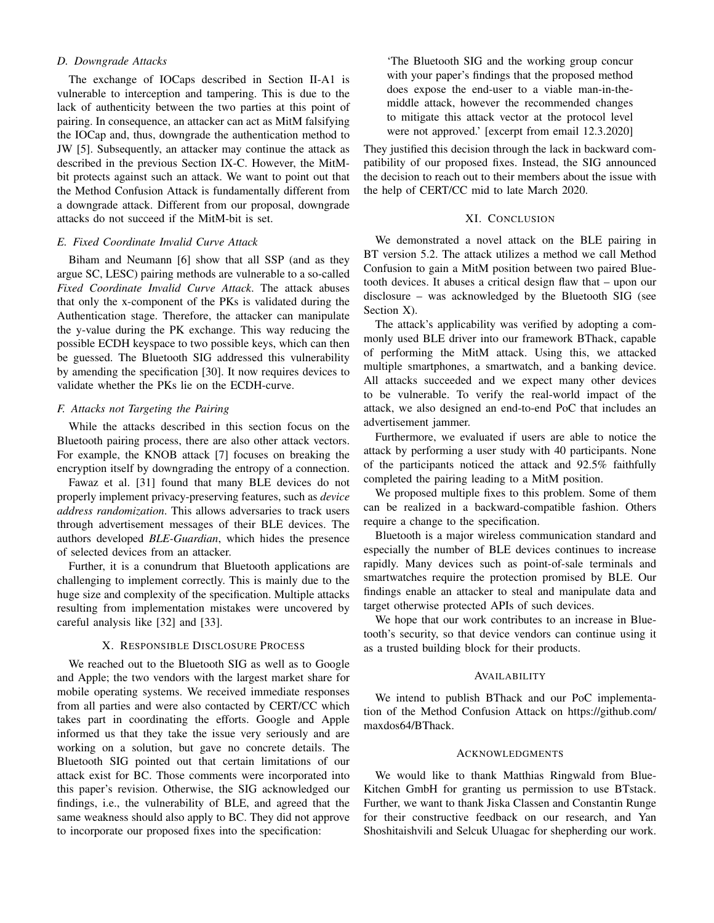# *D. Downgrade Attacks*

The exchange of IOCaps described in Section II-A1 is vulnerable to interception and tampering. This is due to the lack of authenticity between the two parties at this point of pairing. In consequence, an attacker can act as MitM falsifying the IOCap and, thus, downgrade the authentication method to JW [5]. Subsequently, an attacker may continue the attack as described in the previous Section IX-C. However, the MitMbit protects against such an attack. We want to point out that the Method Confusion Attack is fundamentally different from a downgrade attack. Different from our proposal, downgrade attacks do not succeed if the MitM-bit is set.

# *E. Fixed Coordinate Invalid Curve Attack*

Biham and Neumann [6] show that all SSP (and as they argue SC, LESC) pairing methods are vulnerable to a so-called *Fixed Coordinate Invalid Curve Attack*. The attack abuses that only the x-component of the PKs is validated during the Authentication stage. Therefore, the attacker can manipulate the y-value during the PK exchange. This way reducing the possible ECDH keyspace to two possible keys, which can then be guessed. The Bluetooth SIG addressed this vulnerability by amending the specification [30]. It now requires devices to validate whether the PKs lie on the ECDH-curve.

## *F. Attacks not Targeting the Pairing*

While the attacks described in this section focus on the Bluetooth pairing process, there are also other attack vectors. For example, the KNOB attack [7] focuses on breaking the encryption itself by downgrading the entropy of a connection.

Fawaz et al. [31] found that many BLE devices do not properly implement privacy-preserving features, such as *device address randomization*. This allows adversaries to track users through advertisement messages of their BLE devices. The authors developed *BLE-Guardian*, which hides the presence of selected devices from an attacker.

Further, it is a conundrum that Bluetooth applications are challenging to implement correctly. This is mainly due to the huge size and complexity of the specification. Multiple attacks resulting from implementation mistakes were uncovered by careful analysis like [32] and [33].

# X. RESPONSIBLE DISCLOSURE PROCESS

We reached out to the Bluetooth SIG as well as to Google and Apple; the two vendors with the largest market share for mobile operating systems. We received immediate responses from all parties and were also contacted by CERT/CC which takes part in coordinating the efforts. Google and Apple informed us that they take the issue very seriously and are working on a solution, but gave no concrete details. The Bluetooth SIG pointed out that certain limitations of our attack exist for BC. Those comments were incorporated into this paper's revision. Otherwise, the SIG acknowledged our findings, i.e., the vulnerability of BLE, and agreed that the same weakness should also apply to BC. They did not approve to incorporate our proposed fixes into the specification:

'The Bluetooth SIG and the working group concur with your paper's findings that the proposed method does expose the end-user to a viable man-in-themiddle attack, however the recommended changes to mitigate this attack vector at the protocol level were not approved.' [excerpt from email 12.3.2020]

They justified this decision through the lack in backward compatibility of our proposed fixes. Instead, the SIG announced the decision to reach out to their members about the issue with the help of CERT/CC mid to late March 2020.

## XI. CONCLUSION

We demonstrated a novel attack on the BLE pairing in BT version 5.2. The attack utilizes a method we call Method Confusion to gain a MitM position between two paired Bluetooth devices. It abuses a critical design flaw that – upon our disclosure – was acknowledged by the Bluetooth SIG (see Section X).

The attack's applicability was verified by adopting a commonly used BLE driver into our framework BThack, capable of performing the MitM attack. Using this, we attacked multiple smartphones, a smartwatch, and a banking device. All attacks succeeded and we expect many other devices to be vulnerable. To verify the real-world impact of the attack, we also designed an end-to-end PoC that includes an advertisement jammer.

Furthermore, we evaluated if users are able to notice the attack by performing a user study with 40 participants. None of the participants noticed the attack and 92.5% faithfully completed the pairing leading to a MitM position.

We proposed multiple fixes to this problem. Some of them can be realized in a backward-compatible fashion. Others require a change to the specification.

Bluetooth is a major wireless communication standard and especially the number of BLE devices continues to increase rapidly. Many devices such as point-of-sale terminals and smartwatches require the protection promised by BLE. Our findings enable an attacker to steal and manipulate data and target otherwise protected APIs of such devices.

We hope that our work contributes to an increase in Bluetooth's security, so that device vendors can continue using it as a trusted building block for their products.

#### AVAILABILITY

We intend to publish BThack and our PoC implementation of the Method Confusion Attack on https://github.com/ maxdos64/BThack.

#### ACKNOWLEDGMENTS

We would like to thank Matthias Ringwald from Blue-Kitchen GmbH for granting us permission to use BTstack. Further, we want to thank Jiska Classen and Constantin Runge for their constructive feedback on our research, and Yan Shoshitaishvili and Selcuk Uluagac for shepherding our work.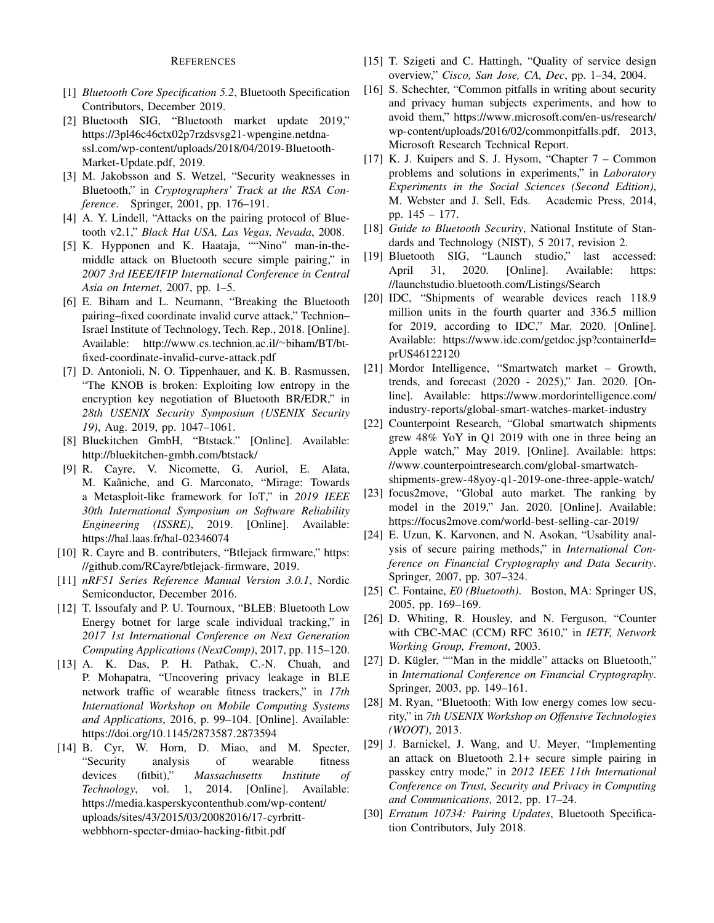# **REFERENCES**

- [1] *Bluetooth Core Specification 5.2*, Bluetooth Specification Contributors, December 2019.
- [2] Bluetooth SIG, "Bluetooth market update 2019," https://3pl46c46ctx02p7rzdsvsg21-wpengine.netdnassl.com/wp-content/uploads/2018/04/2019-Bluetooth-Market-Update.pdf, 2019.
- [3] M. Jakobsson and S. Wetzel, "Security weaknesses in Bluetooth," in *Cryptographers' Track at the RSA Conference*. Springer, 2001, pp. 176–191.
- [4] A. Y. Lindell, "Attacks on the pairing protocol of Bluetooth v2.1," *Black Hat USA, Las Vegas, Nevada*, 2008.
- [5] K. Hypponen and K. Haataja, ""Nino" man-in-themiddle attack on Bluetooth secure simple pairing," in *2007 3rd IEEE/IFIP International Conference in Central Asia on Internet*, 2007, pp. 1–5.
- [6] E. Biham and L. Neumann, "Breaking the Bluetooth pairing–fixed coordinate invalid curve attack," Technion– Israel Institute of Technology, Tech. Rep., 2018. [Online]. Available: http://www.cs.technion.ac.il/∼biham/BT/btfixed-coordinate-invalid-curve-attack.pdf
- [7] D. Antonioli, N. O. Tippenhauer, and K. B. Rasmussen, "The KNOB is broken: Exploiting low entropy in the encryption key negotiation of Bluetooth BR/EDR," in *28th USENIX Security Symposium (USENIX Security 19)*, Aug. 2019, pp. 1047–1061.
- [8] Bluekitchen GmbH, "Btstack." [Online]. Available: http://bluekitchen-gmbh.com/btstack/
- [9] R. Cayre, V. Nicomette, G. Auriol, E. Alata, M. Kaâniche, and G. Marconato, "Mirage: Towards a Metasploit-like framework for IoT," in *2019 IEEE 30th International Symposium on Software Reliability Engineering (ISSRE)*, 2019. [Online]. Available: https://hal.laas.fr/hal-02346074
- [10] R. Cayre and B. contributers, "Btlejack firmware," https: //github.com/RCayre/btlejack-firmware, 2019.
- [11] *nRF51 Series Reference Manual Version 3.0.1*, Nordic Semiconductor, December 2016.
- [12] T. Issoufaly and P. U. Tournoux, "BLEB: Bluetooth Low Energy botnet for large scale individual tracking," in *2017 1st International Conference on Next Generation Computing Applications (NextComp)*, 2017, pp. 115–120.
- [13] A. K. Das, P. H. Pathak, C.-N. Chuah, and P. Mohapatra, "Uncovering privacy leakage in BLE network traffic of wearable fitness trackers," in *17th International Workshop on Mobile Computing Systems and Applications*, 2016, p. 99–104. [Online]. Available: https://doi.org/10.1145/2873587.2873594
- [14] B. Cyr, W. Horn, D. Miao, and M. Specter, "Security analysis of wearable fitness devices (fitbit)," *Massachusetts Institute of Technology*, vol. 1, 2014. [Online]. Available: https://media.kasperskycontenthub.com/wp-content/ uploads/sites/43/2015/03/20082016/17-cyrbrittwebbhorn-specter-dmiao-hacking-fitbit.pdf
- [15] T. Szigeti and C. Hattingh, "Quality of service design overview," *Cisco, San Jose, CA, Dec*, pp. 1–34, 2004.
- [16] S. Schechter, "Common pitfalls in writing about security and privacy human subjects experiments, and how to avoid them," https://www.microsoft.com/en-us/research/ wp-content/uploads/2016/02/commonpitfalls.pdf, 2013, Microsoft Research Technical Report.
- [17] K. J. Kuipers and S. J. Hysom, "Chapter 7 Common problems and solutions in experiments," in *Laboratory Experiments in the Social Sciences (Second Edition)*, M. Webster and J. Sell, Eds. Academic Press, 2014, pp. 145 – 177.
- [18] *Guide to Bluetooth Security*, National Institute of Standards and Technology (NIST), 5 2017, revision 2.
- [19] Bluetooth SIG, "Launch studio," last accessed: April 31, 2020. [Online]. Available: https: //launchstudio.bluetooth.com/Listings/Search
- [20] IDC, "Shipments of wearable devices reach 118.9 million units in the fourth quarter and 336.5 million for 2019, according to IDC," Mar. 2020. [Online]. Available: https://www.idc.com/getdoc.jsp?containerId= prUS46122120
- [21] Mordor Intelligence, "Smartwatch market Growth, trends, and forecast (2020 - 2025)," Jan. 2020. [Online]. Available: https://www.mordorintelligence.com/ industry-reports/global-smart-watches-market-industry
- [22] Counterpoint Research, "Global smartwatch shipments grew 48% YoY in Q1 2019 with one in three being an Apple watch," May 2019. [Online]. Available: https: //www.counterpointresearch.com/global-smartwatchshipments-grew-48yoy-q1-2019-one-three-apple-watch/
- [23] focus2move, "Global auto market. The ranking by model in the 2019," Jan. 2020. [Online]. Available: https://focus2move.com/world-best-selling-car-2019/
- [24] E. Uzun, K. Karvonen, and N. Asokan, "Usability analysis of secure pairing methods," in *International Conference on Financial Cryptography and Data Security*. Springer, 2007, pp. 307–324.
- [25] C. Fontaine, *E0 (Bluetooth)*. Boston, MA: Springer US, 2005, pp. 169–169.
- [26] D. Whiting, R. Housley, and N. Ferguson, "Counter with CBC-MAC (CCM) RFC 3610," in *IETF, Network Working Group, Fremont*, 2003.
- [27] D. Kügler, ""Man in the middle" attacks on Bluetooth," in *International Conference on Financial Cryptography*. Springer, 2003, pp. 149–161.
- [28] M. Ryan, "Bluetooth: With low energy comes low security," in *7th USENIX Workshop on Offensive Technologies (WOOT)*, 2013.
- [29] J. Barnickel, J. Wang, and U. Meyer, "Implementing an attack on Bluetooth 2.1+ secure simple pairing in passkey entry mode," in *2012 IEEE 11th International Conference on Trust, Security and Privacy in Computing and Communications*, 2012, pp. 17–24.
- [30] *Erratum 10734: Pairing Updates*, Bluetooth Specification Contributors, July 2018.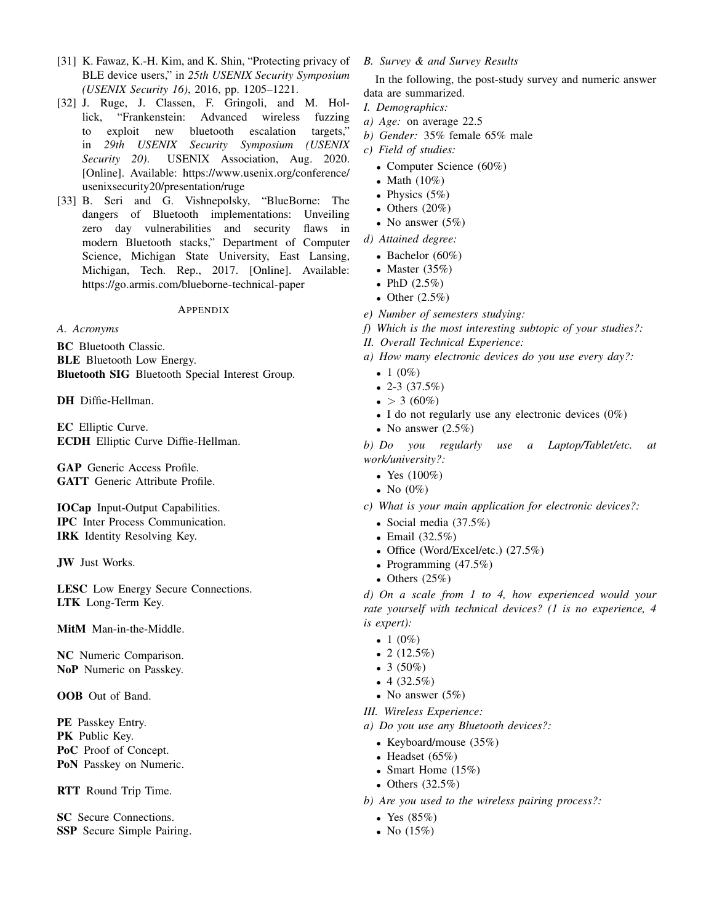- [31] K. Fawaz, K.-H. Kim, and K. Shin, "Protecting privacy of BLE device users," in *25th USENIX Security Symposium (USENIX Security 16)*, 2016, pp. 1205–1221.
- [32] J. Ruge, J. Classen, F. Gringoli, and M. Hollick, "Frankenstein: Advanced wireless fuzzing to exploit new bluetooth escalation targets," in *29th USENIX Security Symposium (USENIX Security 20)*. USENIX Association, Aug. 2020. [Online]. Available: https://www.usenix.org/conference/ usenixsecurity20/presentation/ruge
- [33] B. Seri and G. Vishnepolsky, "BlueBorne: The dangers of Bluetooth implementations: Unveiling zero day vulnerabilities and security flaws in modern Bluetooth stacks," Department of Computer Science, Michigan State University, East Lansing, Michigan, Tech. Rep., 2017. [Online]. Available: https://go.armis.com/blueborne-technical-paper

APPENDIX

*A. Acronyms*

BC Bluetooth Classic.

**BLE** Bluetooth Low Energy.

Bluetooth SIG Bluetooth Special Interest Group.

DH Diffie-Hellman.

EC Elliptic Curve. ECDH Elliptic Curve Diffie-Hellman.

GAP Generic Access Profile. GATT Generic Attribute Profile.

IOCap Input-Output Capabilities. IPC Inter Process Communication. IRK Identity Resolving Key.

JW Just Works.

LESC Low Energy Secure Connections. LTK Long-Term Key.

MitM Man-in-the-Middle.

NC Numeric Comparison. NoP Numeric on Passkey.

OOB Out of Band.

PE Passkey Entry. PK Public Key. PoC Proof of Concept. PoN Passkey on Numeric.

RTT Round Trip Time.

SC Secure Connections. SSP Secure Simple Pairing.

# *B. Survey & and Survey Results*

In the following, the post-study survey and numeric answer data are summarized.

- *I. Demographics:*
- *a) Age:* on average 22.5
- *b) Gender:* 35% female 65% male
- *c) Field of studies:*
	- Computer Science (60%)
	- Math  $(10\%)$
	- Physics  $(5%)$
	- Others  $(20\%)$
	- No answer  $(5%)$
- *d) Attained degree:*
	- Bachelor (60%)
	- Master  $(35%)$
	- PhD  $(2.5\%)$
	- Other  $(2.5\%)$
- *e) Number of semesters studying:*
- *f) Which is the most interesting subtopic of your studies?:*
- *II. Overall Technical Experience:*
- *a) How many electronic devices do you use every day?:*
	- 1  $(0\%)$
	- 2-3  $(37.5%)$
	- $\bullet$  > 3 (60%)
	- I do not regularly use any electronic devices  $(0\%)$
	- No answer  $(2.5\%)$

*b) Do you regularly use a Laptop/Tablet/etc. at work/university?:*

- Yes  $(100\%)$
- No  $(0\%)$
- *c) What is your main application for electronic devices?:*
	- Social media (37.5%)
	- Email (32.5%)
	- Office (Word/Excel/etc.) (27.5%)
	- Programming (47.5%)
	- Others  $(25%)$

*d) On a scale from 1 to 4, how experienced would your rate yourself with technical devices? (1 is no experience, 4 is expert):*

- 1  $(0\%)$
- 2  $(12.5%)$
- 3  $(50\%)$
- 4  $(32.5\%)$
- No answer  $(5%)$
- *III. Wireless Experience:*
- *a) Do you use any Bluetooth devices?:*
	- Keyboard/mouse (35%)
	- Headset  $(65\%)$
	- Smart Home  $(15%)$
	- Others  $(32.5\%)$
- *b) Are you used to the wireless pairing process?:*
	- Yes  $(85%)$
	- No  $(15%)$